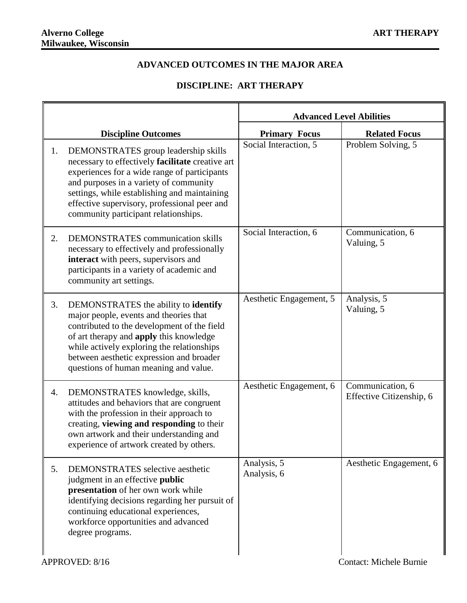## **ADVANCED OUTCOMES IN THE MAJOR AREA**

## **DISCIPLINE: ART THERAPY**

|    |                                                                                                                                                                                                                                                                                                                            | <b>Advanced Level Abilities</b> |                                              |
|----|----------------------------------------------------------------------------------------------------------------------------------------------------------------------------------------------------------------------------------------------------------------------------------------------------------------------------|---------------------------------|----------------------------------------------|
|    | <b>Discipline Outcomes</b>                                                                                                                                                                                                                                                                                                 | <b>Primary Focus</b>            | <b>Related Focus</b>                         |
| 1. | DEMONSTRATES group leadership skills<br>necessary to effectively facilitate creative art<br>experiences for a wide range of participants<br>and purposes in a variety of community<br>settings, while establishing and maintaining<br>effective supervisory, professional peer and<br>community participant relationships. | Social Interaction, 5           | Problem Solving, 5                           |
| 2. | <b>DEMONSTRATES</b> communication skills<br>necessary to effectively and professionally<br>interact with peers, supervisors and<br>participants in a variety of academic and<br>community art settings.                                                                                                                    | Social Interaction, 6           | Communication, 6<br>Valuing, 5               |
| 3. | DEMONSTRATES the ability to <b>identify</b><br>major people, events and theories that<br>contributed to the development of the field<br>of art therapy and apply this knowledge<br>while actively exploring the relationships<br>between aesthetic expression and broader<br>questions of human meaning and value.         | Aesthetic Engagement, 5         | Analysis, 5<br>Valuing, 5                    |
| 4. | DEMONSTRATES knowledge, skills,<br>attitudes and behaviors that are congruent<br>with the profession in their approach to<br>creating, viewing and responding to their<br>own artwork and their understanding and<br>experience of artwork created by others.                                                              | Aesthetic Engagement, 6         | Communication, 6<br>Effective Citizenship, 6 |
| 5. | DEMONSTRATES selective aesthetic<br>judgment in an effective <b>public</b><br>presentation of her own work while<br>identifying decisions regarding her pursuit of<br>continuing educational experiences,<br>workforce opportunities and advanced<br>degree programs.                                                      | Analysis, 5<br>Analysis, 6      | Aesthetic Engagement, 6                      |